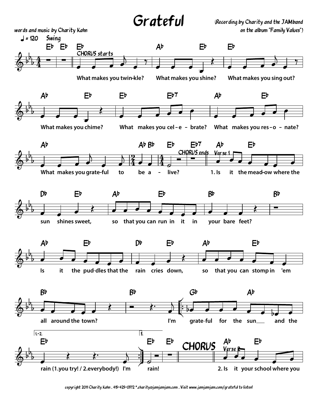

copyright 2011 Charity Kahn . 415-425-0372 \*.charity@jamjamjam.com . Visit www.jamjamjam.com/grateful to listen!